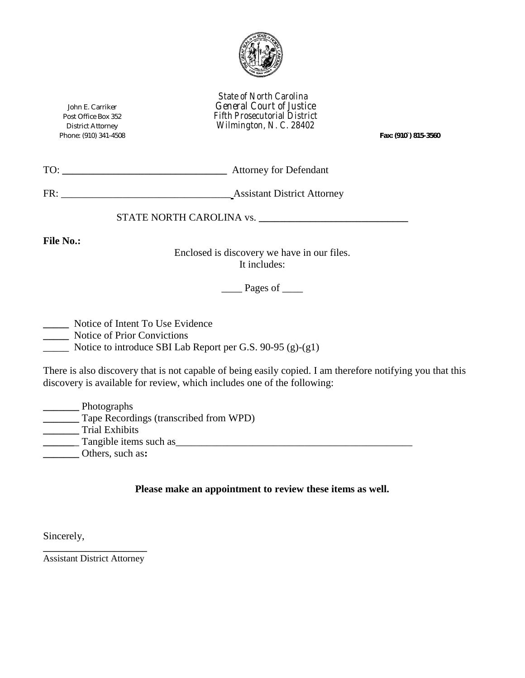

*State of North Carolina*  John E. Carriker *General Court of Justice*  Post Office Box 352 *Fifth Prosecutorial DistrictWilmington, N. C. 28402* 

Phone: (910) 341-4508 *Fax: (910`) 815-3560*

| TO: | <b>Attorney for Defendant</b> |
|-----|-------------------------------|
|     |                               |

FR: \_\_\_\_\_\_\_\_\_\_\_\_\_\_\_\_\_\_\_\_\_\_\_\_\_\_\_\_\_\_\_\_\_ Assistant District Attorney

STATE NORTH CAROLINA vs. **\_\_\_\_\_\_\_\_\_\_\_\_\_\_\_\_\_\_\_\_\_\_\_\_\_\_\_\_\_** 

**File No.:** 

Enclosed is discovery we have in our files. It includes:

 $\qquad$  Pages of  $\qquad$ 

**\_\_\_\_\_** Notice of Intent To Use Evidence

**\_\_\_\_\_** Notice of Prior Convictions

\_\_\_\_\_ Notice to introduce SBI Lab Report per G.S. 90-95 (g)-(g1)

There is also discovery that is not capable of being easily copied. I am therefore notifying you that this discovery is available for review, which includes one of the following:

| Photographs                            |
|----------------------------------------|
| Tape Recordings (transcribed from WPD) |
| <b>Trial Exhibits</b>                  |
| Tangible items such as                 |
| Others, such as:                       |

**Please make an appointment to review these items as well.** 

Sincerely,

**\_\_\_\_\_\_\_\_\_\_\_\_\_\_\_\_\_\_\_\_\_\_** Assistant District Attorney